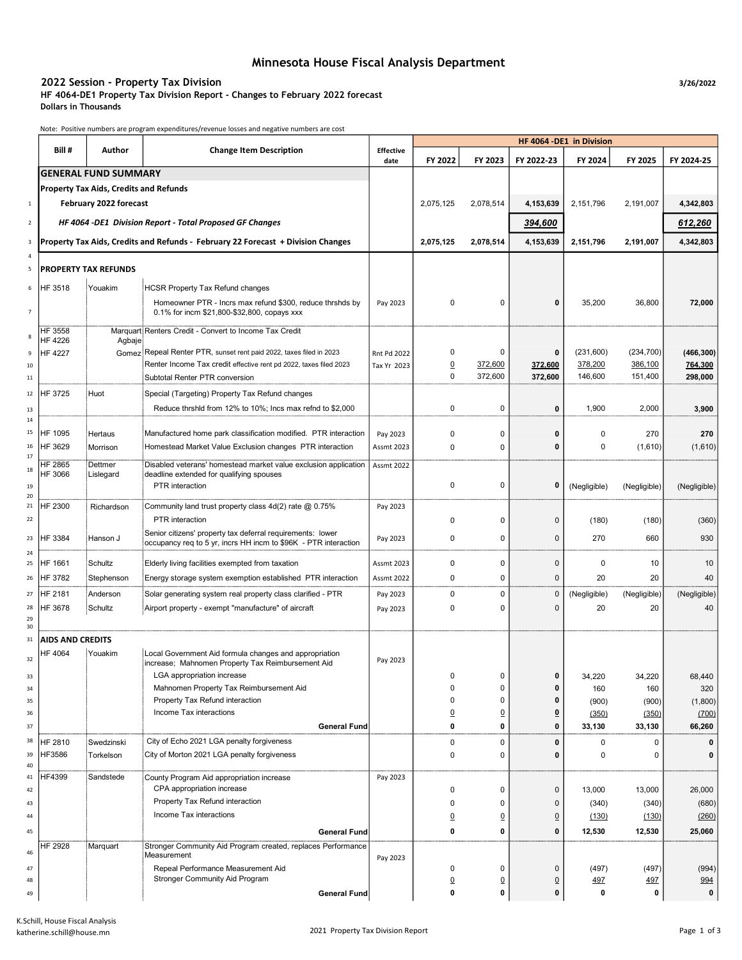# Minnesota House Fiscal Analysis Department

### 2022 Session - Property Tax Division 3/26/2022 Session 3/26/2022

HF 4064-DE1 Property Tax Division Report - Changes to February 2022 forecast Dollars in Thousands

Note: Positive numbers are program expenditures/revenue losses and negative numbers are cost

|                          |                                                          |                                               |                                                                                                                               |                          | HF 4064 -DE1 in Division |                |                         |              |              |              |  |
|--------------------------|----------------------------------------------------------|-----------------------------------------------|-------------------------------------------------------------------------------------------------------------------------------|--------------------------|--------------------------|----------------|-------------------------|--------------|--------------|--------------|--|
|                          | Bill #                                                   | Author                                        | <b>Change Item Description</b>                                                                                                | <b>Effective</b><br>date | FY 2022                  | FY 2023        | FY 2022-23              | FY 2024      | FY 2025      | FY 2024-25   |  |
|                          |                                                          | <b>GENERAL FUND SUMMARY</b>                   |                                                                                                                               |                          |                          |                |                         |              |              |              |  |
|                          |                                                          | <b>Property Tax Aids, Credits and Refunds</b> |                                                                                                                               |                          |                          |                |                         |              |              |              |  |
| $\mathbf 1$              |                                                          | February 2022 forecast                        |                                                                                                                               |                          | 2,075,125                | 2,078,514      | 4,153,639               | 2,151,796    | 2,191,007    | 4,342,803    |  |
| $\overline{2}$           | HF 4064 -DE1 Division Report - Total Proposed GF Changes |                                               |                                                                                                                               |                          |                          |                | 394,600                 |              |              | 612,260      |  |
| 3                        |                                                          |                                               | Property Tax Aids, Credits and Refunds - February 22 Forecast + Division Changes                                              |                          | 2,075,125                | 2,078,514      | 4,153,639               | 2,151,796    | 2,191,007    | 4,342,803    |  |
| 4<br>5                   |                                                          | <b>PROPERTY TAX REFUNDS</b>                   |                                                                                                                               |                          |                          |                |                         |              |              |              |  |
|                          |                                                          |                                               |                                                                                                                               |                          |                          |                |                         |              |              |              |  |
| 6                        | HF 3518                                                  | Youakim                                       | <b>HCSR Property Tax Refund changes</b>                                                                                       |                          |                          |                |                         |              |              |              |  |
| $\overline{\phantom{a}}$ |                                                          |                                               | Homeowner PTR - Incrs max refund \$300, reduce thrshds by<br>0.1% for incm \$21,800-\$32,800, copays xxx                      | Pay 2023                 | 0                        | 0              | $\bf{0}$                | 35,200       | 36,800       | 72,000       |  |
| 8                        | HF 3558<br>HF 4226                                       | Agbaje                                        | Marquart: Renters Credit - Convert to Income Tax Credit                                                                       |                          |                          |                |                         |              |              |              |  |
| 9                        | <b>HF 4227</b>                                           |                                               | Gomez: Repeal Renter PTR, sunset rent paid 2022, taxes filed in 2023                                                          | Rnt Pd 2022              | 0                        | 0              | 0                       | (231,600)    | (234, 700)   | (466, 300)   |  |
| 10                       |                                                          |                                               | Renter Income Tax credit effective rent pd 2022, taxes filed 2023                                                             | Tax Yr 2023              | $\overline{0}$           | 372,600        | 372,600                 | 378,200      | 386,100      | 764,300      |  |
| 11                       |                                                          |                                               | Subtotal Renter PTR conversion                                                                                                |                          | 0                        | 372,600        | 372,600                 | 146,600      | 151,400      | 298,000      |  |
| 12                       | HF 3725                                                  | Huot                                          | Special (Targeting) Property Tax Refund changes                                                                               |                          |                          |                |                         |              |              |              |  |
| 13<br>14                 |                                                          |                                               | Reduce thrshid from 12% to 10%; Incs max refnd to \$2,000                                                                     |                          | 0                        | 0              | 0                       | 1,900        | 2,000        | 3,900        |  |
| 15                       | HF 1095                                                  | Hertaus                                       | Manufactured home park classification modified. PTR interaction                                                               | Pay 2023                 | 0                        | 0              | 0                       | 0            | 270          | 270          |  |
| 16                       | HF 3629                                                  | Morrison                                      | Homestead Market Value Exclusion changes PTR interaction                                                                      | <b>Assmt 2023</b>        | 0                        | 0              | $\bf{0}$                | $\pmb{0}$    | (1,610)      | (1,610)      |  |
| 17                       | HF 2865                                                  | Dettmer                                       | Disabled veterans' homestead market value exclusion application                                                               | <b>Assmt 2022</b>        |                          |                |                         |              |              |              |  |
| 18<br>19                 | HF 3066                                                  | Lislegard                                     | deadline extended for qualifying spouses<br>PTR interaction                                                                   |                          | 0                        | 0              | 0                       | (Negligible) | (Negligible) | (Negligible) |  |
| 20<br>21                 | HF 2300                                                  | Richardson                                    | Community land trust property class 4d(2) rate @ 0.75%                                                                        | Pay 2023                 |                          |                |                         |              |              |              |  |
| 22                       |                                                          |                                               | PTR interaction                                                                                                               |                          | 0                        | 0              | $\mathbf 0$             | (180)        | (180)        | (360)        |  |
| 23                       | HF 3384                                                  | Hanson J                                      | Senior citizens' property tax deferral requirements: lower<br>occupancy req to 5 yr, incrs HH incm to \$96K - PTR interaction | Pay 2023                 | 0                        | 0              | $\mathbf 0$             | 270          | 660          | 930          |  |
| 24                       |                                                          |                                               |                                                                                                                               |                          |                          |                |                         |              |              |              |  |
| 25                       | HF 1661                                                  | Schultz                                       | Elderly living facilities exempted from taxation                                                                              | <b>Assmt 2023</b>        | 0                        | 0              | $\mathbf 0$             | 0            | 10           | 10           |  |
| 26                       | HF 3782                                                  | Stephenson                                    | Energy storage system exemption established PTR interaction                                                                   | <b>Assmt 2022</b>        | 0                        | 0              | $\mathbf 0$             | 20           | 20           | 40           |  |
| 27                       | HF 2181                                                  | Anderson                                      | Solar generating system real property class clarified - PTR                                                                   | Pay 2023                 | 0                        | 0              | $\mathbf 0$             | (Negligible) | (Negligible) | (Negligible) |  |
| 28<br>29<br>30           | HF 3678                                                  | Schultz                                       | Airport property - exempt "manufacture" of aircraft                                                                           | Pay 2023                 | 0                        | 0              | $\Omega$                | 20           | 20           | 40           |  |
| 31                       | <b>AIDS AND CREDITS</b>                                  |                                               |                                                                                                                               |                          |                          |                |                         |              |              |              |  |
| 32                       | HF 4064                                                  | Youakim                                       | Local Government Aid formula changes and appropriation<br>increase; Mahnomen Property Tax Reimbursement Aid                   | Pay 2023                 |                          |                |                         |              |              |              |  |
| 33                       |                                                          |                                               | LGA appropriation increase                                                                                                    |                          | 0                        | 0              | 0                       | 34,220       | 34,220       | 68,440       |  |
| 34                       |                                                          |                                               | Mahnomen Property Tax Reimbursement Aid                                                                                       |                          | 0                        | 0              | 0                       | 160          | 160          | 320          |  |
| 35                       |                                                          |                                               | Property Tax Refund interaction                                                                                               |                          | $\Omega$                 | 0              | 0                       | (900)        | (900)        | (1,800)      |  |
| 36                       |                                                          |                                               | Income Tax interactions                                                                                                       |                          | $\overline{0}$           | $\overline{0}$ | $\overline{\mathbf{0}}$ | (350)        | (350)        | (700)        |  |
| 37                       |                                                          |                                               | <b>General Fund</b>                                                                                                           |                          | 0                        | 0              | $\bf{0}$                | 33,130       | 33,130       | 66,260       |  |
| 38                       | HF 2810<br>HF3586                                        | Swedzinski                                    | City of Echo 2021 LGA penalty forgiveness                                                                                     |                          | 0                        | 0              | 0                       | 0            | 0            | 0            |  |
| 39<br>$40\,$             |                                                          | Torkelson                                     | City of Morton 2021 LGA penalty forgiveness                                                                                   |                          | 0                        | 0              | $\bf{0}$                | $\pmb{0}$    | 0            | 0            |  |
| 41                       | HF4399                                                   | Sandstede                                     | County Program Aid appropriation increase                                                                                     | Pay 2023                 |                          |                |                         |              |              |              |  |
| 42                       |                                                          |                                               | CPA appropriation increase                                                                                                    |                          | 0                        | 0              | $\mathbf 0$             | 13,000       | 13,000       | 26,000       |  |
| 43                       |                                                          |                                               | Property Tax Refund interaction<br>Income Tax interactions                                                                    |                          | 0                        | 0              | $\mathbf 0$             | (340)        | (340)        | (680)        |  |
| 44                       |                                                          |                                               |                                                                                                                               |                          | $\overline{0}$           | $\overline{0}$ | $\overline{0}$          | (130)        | (130)        | (260)        |  |
| 45                       |                                                          |                                               | <b>General Fund</b>                                                                                                           |                          | 0                        | 0              | 0                       | 12,530       | 12,530       | 25,060       |  |
| 46                       | HF 2928                                                  | Marquart                                      | Stronger Community Aid Program created, replaces Performance<br>Measurement                                                   | Pay 2023                 |                          |                |                         |              |              |              |  |
| 47                       |                                                          |                                               | Repeal Performance Measurement Aid                                                                                            |                          | 0                        | 0              | $\mathbf 0$             | (497)        | (497)        | (994)        |  |
| 48                       |                                                          |                                               | Stronger Community Aid Program                                                                                                |                          | $\overline{0}$           | $\overline{0}$ | $\overline{0}$          | <u>497</u>   | 497          | 994          |  |
| 49                       |                                                          |                                               | <b>General Fund</b>                                                                                                           |                          | 0                        | 0              | 0                       | 0            | 0            | $\mathbf 0$  |  |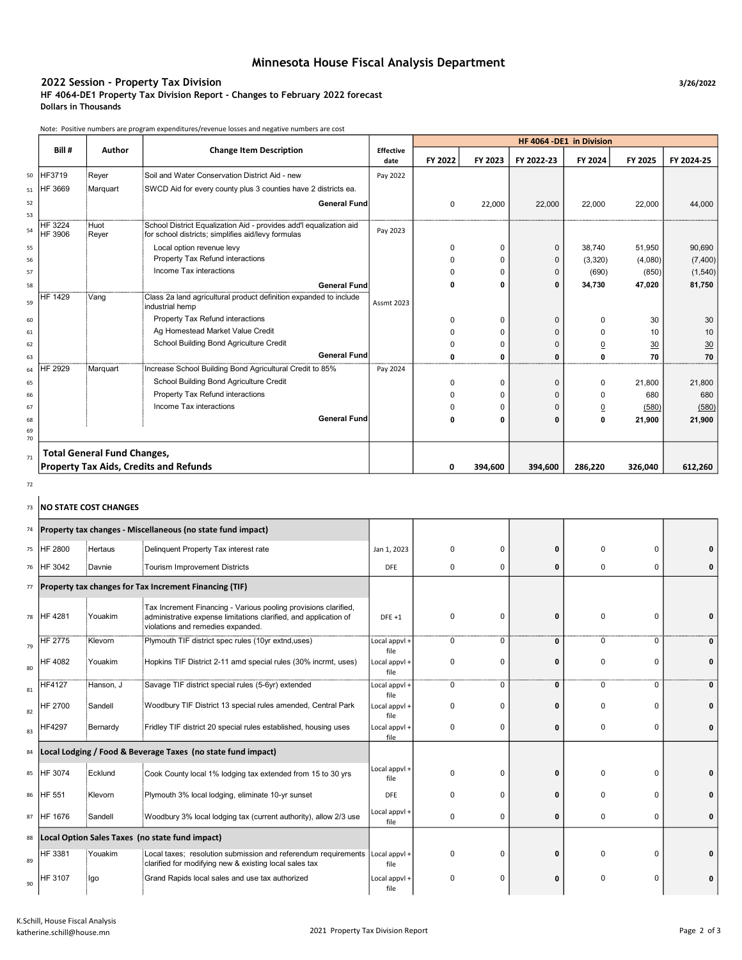## Minnesota House Fiscal Analysis Department

### 2022 Session - Property Tax Division 3/26/2022 Session 3/26/2022

HF 4064-DE1 Property Tax Division Report - Changes to February 2022 forecast Dollars in Thousands

Note: Positive numbers are program expenditures/revenue losses and negative numbers are cost

|          |                           |                                    |                                                                                                                          |                          | HF 4064 - DE1 in Division |              |              |                |         |            |
|----------|---------------------------|------------------------------------|--------------------------------------------------------------------------------------------------------------------------|--------------------------|---------------------------|--------------|--------------|----------------|---------|------------|
|          | Bill #                    | Author                             | <b>Change Item Description</b>                                                                                           | <b>Effective</b><br>date | FY 2022                   | FY 2023      | FY 2022-23   | FY 2024        | FY 2025 | FY 2024-25 |
| 50       | HF3719                    | Rever                              | Soil and Water Conservation District Aid - new                                                                           | Pay 2022                 |                           |              |              |                |         |            |
| 51       | HF 3669                   | Marquart                           | SWCD Aid for every county plus 3 counties have 2 districts ea.                                                           |                          |                           |              |              |                |         |            |
| 52<br>53 |                           |                                    | <b>General Fund</b>                                                                                                      |                          | 0                         | 22,000       | 22,000       | 22,000         | 22,000  | 44,000     |
| 54       | <b>HF 3224</b><br>HF 3906 | Huot<br>Reyer                      | School District Equalization Aid - provides add'l equalization aid<br>for school districts; simplifies aid/levy formulas | Pay 2023                 |                           |              |              |                |         |            |
| 55       |                           |                                    | Local option revenue levy                                                                                                |                          | 0                         | $\Omega$     | $\mathbf{0}$ | 38,740         | 51,950  | 90,690     |
| 56       |                           |                                    | Property Tax Refund interactions                                                                                         |                          | 0                         | $\Omega$     | $\Omega$     | (3,320)        | (4,080) | (7,400)    |
| 57       |                           |                                    | Income Tax interactions                                                                                                  |                          |                           | $\Omega$     | $\Omega$     | (690)          | (850)   | (1,540)    |
| 58       |                           |                                    | <b>General Fund</b>                                                                                                      |                          | 0                         | $\mathbf{0}$ | $\Omega$     | 34,730         | 47,020  | 81,750     |
| 59       | HF 1429                   | Vang                               | Class 2a land agricultural product definition expanded to include<br>industrial hemp                                     | <b>Assmt 2023</b>        |                           |              |              |                |         |            |
| 60       |                           |                                    | Property Tax Refund interactions                                                                                         |                          | 0                         | $\Omega$     | $\Omega$     | $\Omega$       | 30      | 30         |
| 61       |                           |                                    | Ag Homestead Market Value Credit                                                                                         |                          | U                         | U            | $\Omega$     | O              | 10      | 10         |
| 62       |                           |                                    | School Building Bond Agriculture Credit                                                                                  |                          | 0                         | O            | $\Omega$     | $\overline{0}$ | 30      | 30         |
| 63       |                           |                                    | <b>General Fund</b>                                                                                                      |                          | ŋ                         | $\Omega$     | $\Omega$     | 0              | 70      | 70         |
| 64       | HF 2929                   | Marquart                           | Increase School Building Bond Agricultural Credit to 85%                                                                 | Pay 2024                 |                           |              |              |                |         |            |
| 65       |                           |                                    | School Building Bond Agriculture Credit                                                                                  |                          | 0                         | $\Omega$     | $\mathbf{0}$ | 0              | 21,800  | 21,800     |
| 66       |                           |                                    | Property Tax Refund interactions                                                                                         |                          | 0                         | O            | $\mathbf{0}$ | 0              | 680     | 680        |
| 67       |                           |                                    | Income Tax interactions                                                                                                  |                          | 0                         | $\Omega$     | $\Omega$     | $\overline{0}$ | (580)   | (580)      |
| 68       |                           |                                    | <b>General Fund</b>                                                                                                      |                          | 0                         | $\Omega$     | $\Omega$     | 0              | 21,900  | 21,900     |
| 69<br>70 |                           |                                    |                                                                                                                          |                          |                           |              |              |                |         |            |
| 71       |                           | <b>Total General Fund Changes,</b> |                                                                                                                          |                          |                           |              |              |                |         |            |
|          |                           |                                    | <b>Property Tax Aids, Credits and Refunds</b>                                                                            |                          | 0                         | 394,600      | 394,600      | 286,220        | 326.040 | 612,260    |

#### 72

## 73 NO STATE COST CHANGES

| 74 |                |                | Property tax changes - Miscellaneous (no state fund impact)                                                                                                              |                       |                         |              |             |          |   |
|----|----------------|----------------|--------------------------------------------------------------------------------------------------------------------------------------------------------------------------|-----------------------|-------------------------|--------------|-------------|----------|---|
|    | 75 HF 2800     | Hertaus        | Delinquent Property Tax interest rate                                                                                                                                    | Jan 1, 2023           | $\Omega$<br>$\Omega$    | 0            | 0           | 0        |   |
|    | 76 HF 3042     | Davnie         | Tourism Improvement Districts                                                                                                                                            | <b>DFE</b>            | 0<br>0                  | 0            | 0           | 0        |   |
|    |                |                | 77 Property tax changes for Tax Increment Financing (TIF)                                                                                                                |                       |                         |              |             |          |   |
|    | 78 HF 4281     | Youakim        | Tax Increment Financing - Various pooling provisions clarified,<br>administrative expense limitations clarified, and application of<br>violations and remedies expanded. | $DFE + 1$             | $\Omega$<br>$\Omega$    | 0            | $\Omega$    | 0        |   |
| 79 | <b>HF 2775</b> | <b>Klevorn</b> | Plymouth TIF district spec rules (10yr extnd,uses)                                                                                                                       | Local appvl +<br>file | 0<br>0                  | 0            | 0           | 0        | 0 |
| 80 | HF 4082        | Youakim        | Hopkins TIF District 2-11 amd special rules (30% incrmt, uses)                                                                                                           | Local appvl +<br>file | $\mathbf 0$<br>$\Omega$ | 0            | 0           | $\Omega$ |   |
| 81 | <b>HF4127</b>  | Hanson, J      | Savage TIF district special rules (5-6yr) extended                                                                                                                       | Local appvl +<br>file | 0<br>$\Omega$           | 0            | 0           | 0        | 0 |
| 82 | <b>HF 2700</b> | Sandell        | Woodbury TIF District 13 special rules amended, Central Park                                                                                                             | Local appvl +<br>file | $\Omega$<br>0           | ŋ            | 0           | 0        |   |
| 83 | <b>HF4297</b>  | Bernardy       | Fridley TIF district 20 special rules established, housing uses                                                                                                          | Local appvl +<br>file | $\Omega$<br>0           | 0            | $\Omega$    | 0        |   |
| 84 |                |                | Local Lodging / Food & Beverage Taxes (no state fund impact)                                                                                                             |                       |                         |              |             |          |   |
| 85 | HF 3074        | Ecklund        | Cook County local 1% lodging tax extended from 15 to 30 yrs                                                                                                              | Local appvl +<br>file | $\Omega$<br>$\Omega$    | $\mathbf{0}$ | $\Omega$    | 0        |   |
|    | 86 HF 551      | Klevorn        | Plymouth 3% local lodging, eliminate 10-yr sunset                                                                                                                        | <b>DFE</b>            | $\Omega$<br>$\Omega$    | ŋ            | $\Omega$    | $\Omega$ |   |
| 87 | HF 1676        | iSandell∶      | Woodbury 3% local lodging tax (current authority), allow 2/3 use                                                                                                         | Local appvl +<br>file | 0<br>0                  | 0            | $\mathbf 0$ | 0        | 0 |
| 88 |                |                | Local Option Sales Taxes (no state fund impact)                                                                                                                          |                       |                         |              |             |          |   |
| 89 | HF 3381        | Youakim        | Local taxes; resolution submission and referendum requirements<br>clarified for modifying new & existing local sales tax                                                 | Local appvl +<br>file | $\Omega$<br>$\Omega$    | 0            | $\Omega$    | 0        |   |
| 90 | HF 3107        | lgo            | Grand Rapids local sales and use tax authorized                                                                                                                          | Local appvl +<br>file | $\Omega$<br>$\mathbf 0$ | 0            | 0           | 0        |   |